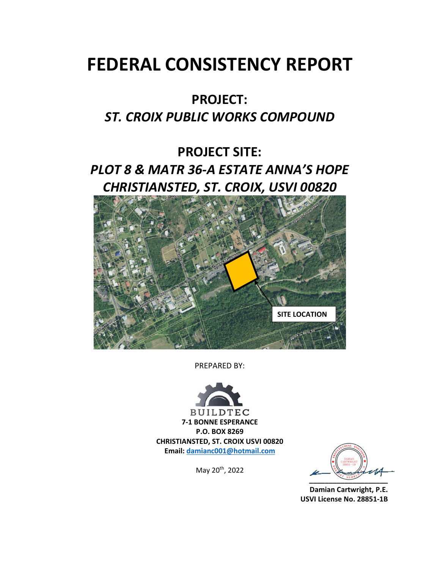# **FEDERAL CONSISTENCY REPORT**

## **PROJECT:**

## *ST. CROIX PUBLIC WORKS COMPOUND*

# **PROJECT SITE:**  *PLOT 8 & MATR 36‐A ESTATE ANNA'S HOPE CHRISTIANSTED, ST. CROIX, USVI 00820*



PREPARED BY:



**BUILDTEC 7‐1 BONNE ESPERANCE P.O. BOX 8269 CHRISTIANSTED, ST. CROIX USVI 00820 Email: damianc001@hotmail.com** 

May 20th, 2022

**\_\_\_\_\_\_\_\_\_\_\_\_\_\_\_\_\_\_\_\_** 

 **Damian Cartwright, P.E. USVI License No. 28851‐1B**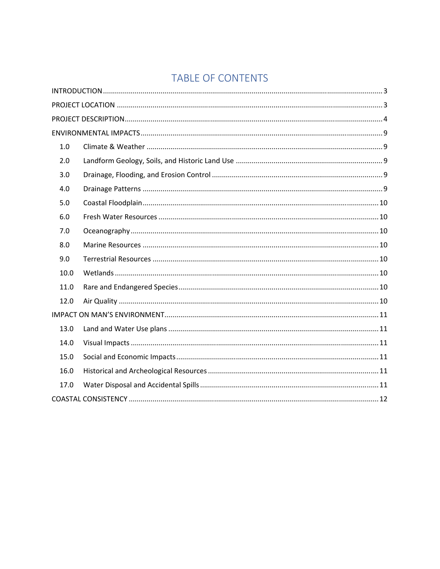## TABLE OF CONTENTS

| 1.0  |      |  |
|------|------|--|
| 2.0  |      |  |
| 3.0  |      |  |
| 4.0  |      |  |
| 5.0  |      |  |
| 6.0  |      |  |
| 7.0  |      |  |
| 8.0  |      |  |
| 9.0  |      |  |
| 10.0 |      |  |
| 11.0 |      |  |
| 12.0 |      |  |
|      | 13.0 |  |
|      |      |  |
| 14.0 |      |  |
| 15.0 |      |  |
| 16.0 |      |  |
| 17.0 |      |  |
|      |      |  |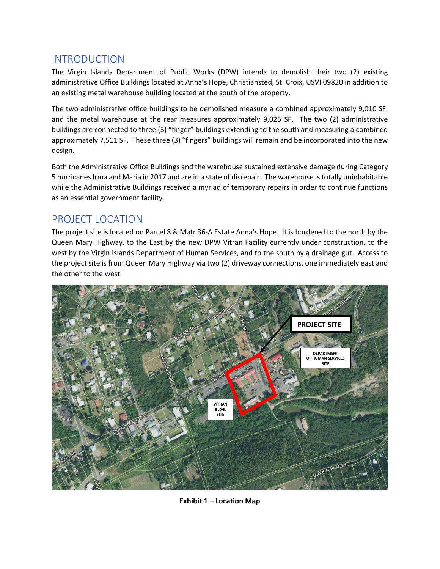## INTRODUCTION

The Virgin Islands Department of Public Works (DPW) intends to demolish their two (2) existing administrative Office Buildings located at Anna's Hope, Christiansted, St. Croix, USVI 09820 in addition to an existing metal warehouse building located at the south of the property.

The two administrative office buildings to be demolished measure a combined approximately 9,010 SF, and the metal warehouse at the rear measures approximately 9,025 SF. The two (2) administrative buildings are connected to three (3) "finger" buildings extending to the south and measuring a combined approximately 7,511 SF. These three (3) "fingers" buildings will remain and be incorporated into the new design.

Both the Administrative Office Buildings and the warehouse sustained extensive damage during Category 5 hurricanes Irma and Maria in 2017 and are in a state of disrepair. The warehouse is totally uninhabitable while the Administrative Buildings received a myriad of temporary repairs in order to continue functions as an essential government facility.

### PROJECT LOCATION

The project site is located on Parcel 8 & Matr 36‐A Estate Anna's Hope. It is bordered to the north by the Queen Mary Highway, to the East by the new DPW Vitran Facility currently under construction, to the west by the Virgin Islands Department of Human Services, and to the south by a drainage gut. Access to the project site is from Queen Mary Highway via two (2) driveway connections, one immediately east and the other to the west.



**Exhibit 1 – Location Map**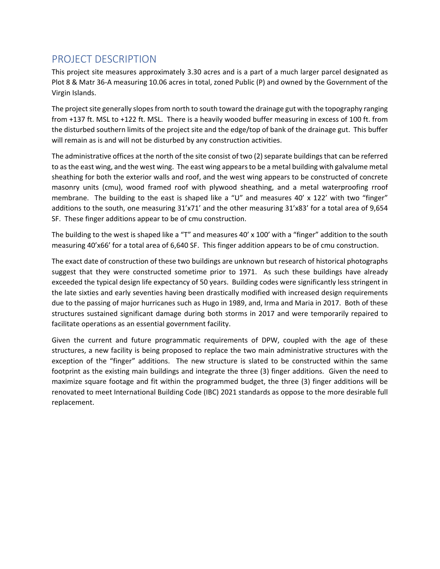## PROJECT DESCRIPTION

This project site measures approximately 3.30 acres and is a part of a much larger parcel designated as Plot 8 & Matr 36‐A measuring 10.06 acres in total, zoned Public (P) and owned by the Government of the Virgin Islands.

The project site generally slopes from north to south toward the drainage gut with the topography ranging from +137 ft. MSL to +122 ft. MSL. There is a heavily wooded buffer measuring in excess of 100 ft. from the disturbed southern limits of the project site and the edge/top of bank of the drainage gut. This buffer will remain as is and will not be disturbed by any construction activities.

The administrative offices at the north of the site consist of two (2) separate buildings that can be referred to as the east wing, and the west wing. The east wing appears to be a metal building with galvalume metal sheathing for both the exterior walls and roof, and the west wing appears to be constructed of concrete masonry units (cmu), wood framed roof with plywood sheathing, and a metal waterproofing rroof membrane. The building to the east is shaped like a "U" and measures  $40' \times 122'$  with two "finger" additions to the south, one measuring 31'x71' and the other measuring 31'x83' for a total area of 9,654 SF. These finger additions appear to be of cmu construction.

The building to the west is shaped like a "T" and measures 40' x 100' with a "finger" addition to the south measuring 40'x66' for a total area of 6,640 SF. This finger addition appears to be of cmu construction.

The exact date of construction of these two buildings are unknown but research of historical photographs suggest that they were constructed sometime prior to 1971. As such these buildings have already exceeded the typical design life expectancy of 50 years. Building codes were significantly less stringent in the late sixties and early seventies having been drastically modified with increased design requirements due to the passing of major hurricanes such as Hugo in 1989, and, Irma and Maria in 2017. Both of these structures sustained significant damage during both storms in 2017 and were temporarily repaired to facilitate operations as an essential government facility.

Given the current and future programmatic requirements of DPW, coupled with the age of these structures, a new facility is being proposed to replace the two main administrative structures with the exception of the "finger" additions. The new structure is slated to be constructed within the same footprint as the existing main buildings and integrate the three (3) finger additions. Given the need to maximize square footage and fit within the programmed budget, the three (3) finger additions will be renovated to meet International Building Code (IBC) 2021 standards as oppose to the more desirable full replacement.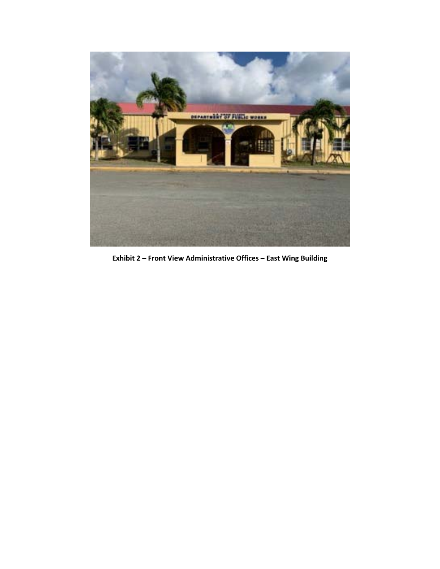

**Exhibit 2 – Front View Administrative Offices – East Wing Building**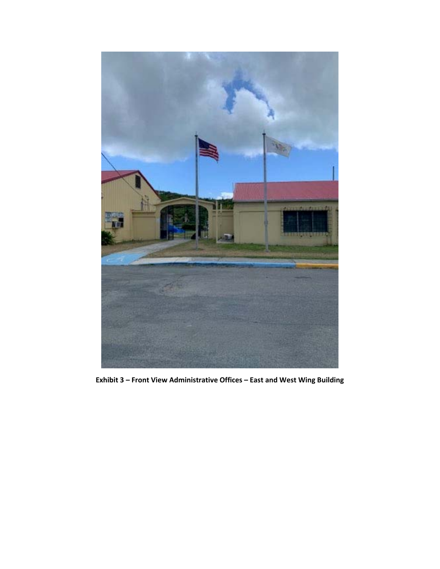

**Exhibit 3 – Front View Administrative Offices – East and West Wing Building**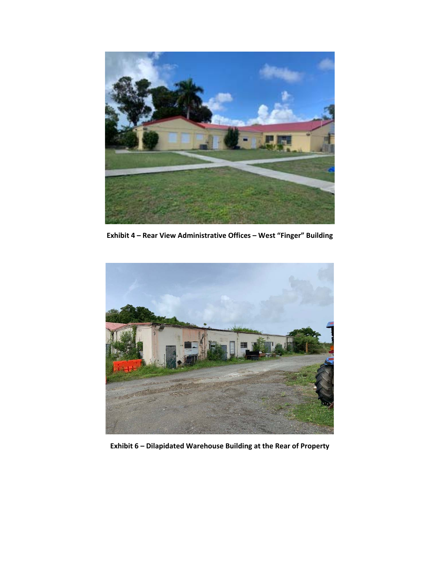

**Exhibit 4 – Rear View Administrative Offices – West "Finger" Building** 



**Exhibit 6 – Dilapidated Warehouse Building at the Rear of Property**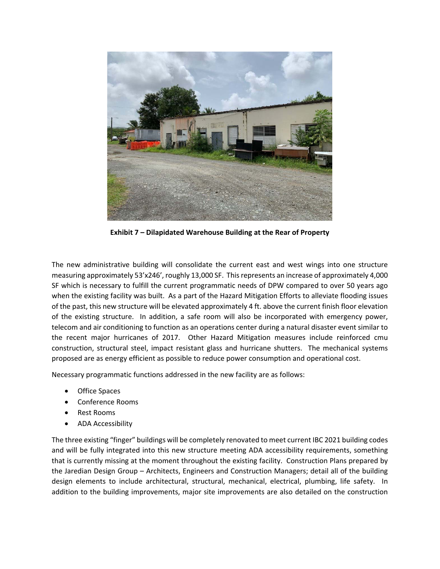

**Exhibit 7 – Dilapidated Warehouse Building at the Rear of Property** 

The new administrative building will consolidate the current east and west wings into one structure measuring approximately 53'x246', roughly 13,000 SF. This represents an increase of approximately 4,000 SF which is necessary to fulfill the current programmatic needs of DPW compared to over 50 years ago when the existing facility was built. As a part of the Hazard Mitigation Efforts to alleviate flooding issues of the past, this new structure will be elevated approximately 4 ft. above the current finish floor elevation of the existing structure. In addition, a safe room will also be incorporated with emergency power, telecom and air conditioning to function as an operations center during a natural disaster event similar to the recent major hurricanes of 2017. Other Hazard Mitigation measures include reinforced cmu construction, structural steel, impact resistant glass and hurricane shutters. The mechanical systems proposed are as energy efficient as possible to reduce power consumption and operational cost.

Necessary programmatic functions addressed in the new facility are as follows:

- Office Spaces
- Conference Rooms
- Rest Rooms
- ADA Accessibility

The three existing "finger" buildings will be completely renovated to meet current IBC 2021 building codes and will be fully integrated into this new structure meeting ADA accessibility requirements, something that is currently missing at the moment throughout the existing facility. Construction Plans prepared by the Jaredian Design Group – Architects, Engineers and Construction Managers; detail all of the building design elements to include architectural, structural, mechanical, electrical, plumbing, life safety. In addition to the building improvements, major site improvements are also detailed on the construction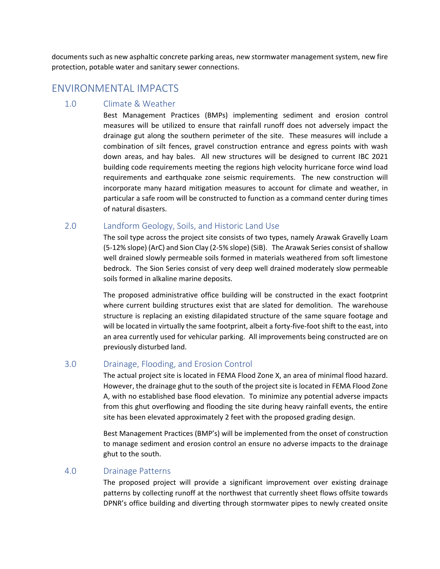documents such as new asphaltic concrete parking areas, new stormwater management system, new fire protection, potable water and sanitary sewer connections.

### ENVIRONMENTAL IMPACTS

#### 1.0 Climate & Weather

Best Management Practices (BMPs) implementing sediment and erosion control measures will be utilized to ensure that rainfall runoff does not adversely impact the drainage gut along the southern perimeter of the site. These measures will include a combination of silt fences, gravel construction entrance and egress points with wash down areas, and hay bales. All new structures will be designed to current IBC 2021 building code requirements meeting the regions high velocity hurricane force wind load requirements and earthquake zone seismic requirements. The new construction will incorporate many hazard mitigation measures to account for climate and weather, in particular a safe room will be constructed to function as a command center during times of natural disasters.

#### 2.0 Landform Geology, Soils, and Historic Land Use

The soil type across the project site consists of two types, namely Arawak Gravelly Loam (5‐12% slope) (ArC) and Sion Clay (2‐5% slope) (SiB). The Arawak Series consist of shallow well drained slowly permeable soils formed in materials weathered from soft limestone bedrock. The Sion Series consist of very deep well drained moderately slow permeable soils formed in alkaline marine deposits.

The proposed administrative office building will be constructed in the exact footprint where current building structures exist that are slated for demolition. The warehouse structure is replacing an existing dilapidated structure of the same square footage and will be located in virtually the same footprint, albeit a forty-five-foot shift to the east, into an area currently used for vehicular parking. All improvements being constructed are on previously disturbed land.

#### 3.0 Drainage, Flooding, and Erosion Control

The actual project site is located in FEMA Flood Zone X, an area of minimal flood hazard. However, the drainage ghut to the south of the project site is located in FEMA Flood Zone A, with no established base flood elevation. To minimize any potential adverse impacts from this ghut overflowing and flooding the site during heavy rainfall events, the entire site has been elevated approximately 2 feet with the proposed grading design.

Best Management Practices (BMP's) will be implemented from the onset of construction to manage sediment and erosion control an ensure no adverse impacts to the drainage ghut to the south.

#### 4.0 Drainage Patterns

The proposed project will provide a significant improvement over existing drainage patterns by collecting runoff at the northwest that currently sheet flows offsite towards DPNR's office building and diverting through stormwater pipes to newly created onsite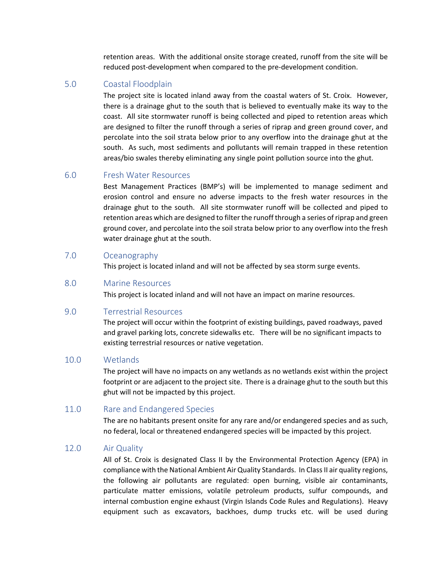retention areas. With the additional onsite storage created, runoff from the site will be reduced post-development when compared to the pre-development condition.

#### 5.0 Coastal Floodplain

The project site is located inland away from the coastal waters of St. Croix. However, there is a drainage ghut to the south that is believed to eventually make its way to the coast. All site stormwater runoff is being collected and piped to retention areas which are designed to filter the runoff through a series of riprap and green ground cover, and percolate into the soil strata below prior to any overflow into the drainage ghut at the south. As such, most sediments and pollutants will remain trapped in these retention areas/bio swales thereby eliminating any single point pollution source into the ghut.

#### 6.0 Fresh Water Resources

Best Management Practices (BMP's) will be implemented to manage sediment and erosion control and ensure no adverse impacts to the fresh water resources in the drainage ghut to the south. All site stormwater runoff will be collected and piped to retention areas which are designed to filter the runoff through a series of riprap and green ground cover, and percolate into the soil strata below prior to any overflow into the fresh water drainage ghut at the south.

#### 7.0 Oceanography

This project is located inland and will not be affected by sea storm surge events.

#### 8.0 Marine Resources

This project is located inland and will not have an impact on marine resources.

#### 9.0 Terrestrial Resources

The project will occur within the footprint of existing buildings, paved roadways, paved and gravel parking lots, concrete sidewalks etc. There will be no significant impacts to existing terrestrial resources or native vegetation.

#### 10.0 Wetlands

The project will have no impacts on any wetlands as no wetlands exist within the project footprint or are adjacent to the project site. There is a drainage ghut to the south but this ghut will not be impacted by this project.

#### 11.0 Rare and Endangered Species

The are no habitants present onsite for any rare and/or endangered species and as such, no federal, local or threatened endangered species will be impacted by this project.

#### 12.0 Air Quality

All of St. Croix is designated Class II by the Environmental Protection Agency (EPA) in compliance with the National Ambient Air Quality Standards. In Class II air quality regions, the following air pollutants are regulated: open burning, visible air contaminants, particulate matter emissions, volatile petroleum products, sulfur compounds, and internal combustion engine exhaust (Virgin Islands Code Rules and Regulations). Heavy equipment such as excavators, backhoes, dump trucks etc. will be used during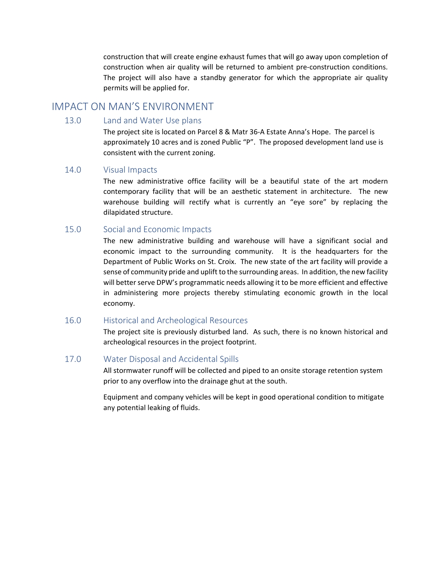construction that will create engine exhaust fumes that will go away upon completion of construction when air quality will be returned to ambient pre-construction conditions. The project will also have a standby generator for which the appropriate air quality permits will be applied for.

#### IMPACT ON MAN'S ENVIRONMENT

#### 13.0 Land and Water Use plans

The project site is located on Parcel 8 & Matr 36‐A Estate Anna's Hope. The parcel is approximately 10 acres and is zoned Public "P". The proposed development land use is consistent with the current zoning.

#### 14.0 Visual Impacts

The new administrative office facility will be a beautiful state of the art modern contemporary facility that will be an aesthetic statement in architecture. The new warehouse building will rectify what is currently an "eye sore" by replacing the dilapidated structure.

#### 15.0 Social and Economic Impacts

The new administrative building and warehouse will have a significant social and economic impact to the surrounding community. It is the headquarters for the Department of Public Works on St. Croix. The new state of the art facility will provide a sense of community pride and uplift to the surrounding areas. In addition, the new facility will better serve DPW's programmatic needs allowing it to be more efficient and effective in administering more projects thereby stimulating economic growth in the local economy.

#### 16.0 Historical and Archeological Resources

The project site is previously disturbed land. As such, there is no known historical and archeological resources in the project footprint.

#### 17.0 Water Disposal and Accidental Spills

All stormwater runoff will be collected and piped to an onsite storage retention system prior to any overflow into the drainage ghut at the south.

Equipment and company vehicles will be kept in good operational condition to mitigate any potential leaking of fluids.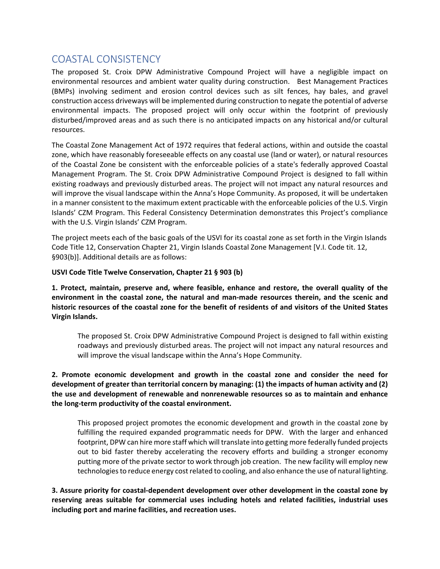### COASTAL CONSISTENCY

The proposed St. Croix DPW Administrative Compound Project will have a negligible impact on environmental resources and ambient water quality during construction. Best Management Practices (BMPs) involving sediment and erosion control devices such as silt fences, hay bales, and gravel construction access driveways will be implemented during construction to negate the potential of adverse environmental impacts. The proposed project will only occur within the footprint of previously disturbed/improved areas and as such there is no anticipated impacts on any historical and/or cultural resources.

The Coastal Zone Management Act of 1972 requires that federal actions, within and outside the coastal zone, which have reasonably foreseeable effects on any coastal use (land or water), or natural resources of the Coastal Zone be consistent with the enforceable policies of a state's federally approved Coastal Management Program. The St. Croix DPW Administrative Compound Project is designed to fall within existing roadways and previously disturbed areas. The project will not impact any natural resources and will improve the visual landscape within the Anna's Hope Community. As proposed, it will be undertaken in a manner consistent to the maximum extent practicable with the enforceable policies of the U.S. Virgin Islands' CZM Program. This Federal Consistency Determination demonstrates this Project's compliance with the U.S. Virgin Islands' CZM Program.

The project meets each of the basic goals of the USVI for its coastal zone as set forth in the Virgin Islands Code Title 12, Conservation Chapter 21, Virgin Islands Coastal Zone Management [V.I. Code tit. 12, §903(b)]. Additional details are as follows:

#### **USVI Code Title Twelve Conservation, Chapter 21 § 903 (b)**

**1. Protect, maintain, preserve and, where feasible, enhance and restore, the overall quality of the environment in the coastal zone, the natural and man‐made resources therein, and the scenic and historic resources of the coastal zone for the benefit of residents of and visitors of the United States Virgin Islands.** 

The proposed St. Croix DPW Administrative Compound Project is designed to fall within existing roadways and previously disturbed areas. The project will not impact any natural resources and will improve the visual landscape within the Anna's Hope Community.

**2. Promote economic development and growth in the coastal zone and consider the need for development of greater than territorial concern by managing: (1) the impacts of human activity and (2) the use and development of renewable and nonrenewable resources so as to maintain and enhance the long‐term productivity of the coastal environment.** 

This proposed project promotes the economic development and growth in the coastal zone by fulfilling the required expanded programmatic needs for DPW. With the larger and enhanced footprint, DPW can hire more staff which will translate into getting more federally funded projects out to bid faster thereby accelerating the recovery efforts and building a stronger economy putting more of the private sector to work through job creation. The new facility will employ new technologies to reduce energy cost related to cooling, and also enhance the use of natural lighting.

**3. Assure priority for coastal‐dependent development over other development in the coastal zone by reserving areas suitable for commercial uses including hotels and related facilities, industrial uses including port and marine facilities, and recreation uses.**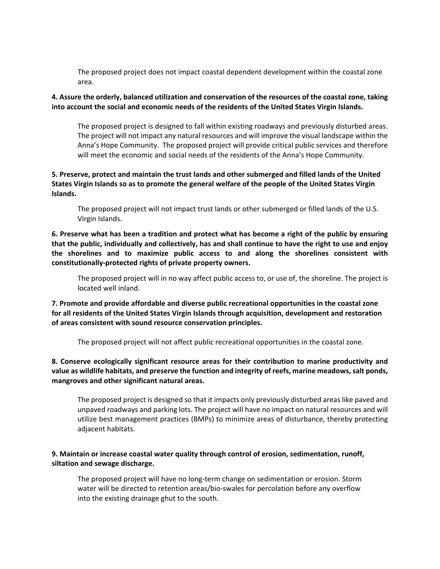The proposed project does not impact coastal dependent development within the coastal zone area.

#### **4. Assure the orderly, balanced utilization and conservation of the resources of the coastal zone, taking into account the social and economic needs of the residents of the United States Virgin Islands.**

The proposed project is designed to fall within existing roadways and previously disturbed areas. The project will not impact any natural resources and will improve the visual landscape within the Anna's Hope Community. The proposed project will provide critical public services and therefore will meet the economic and social needs of the residents of the Anna's Hope Community.

#### **5. Preserve, protect and maintain the trust lands and other submerged and filled lands of the United States Virgin Islands so as to promote the general welfare of the people of the United States Virgin Islands.**

The proposed project will not impact trust lands or other submerged or filled lands of the U.S. Virgin Islands.

**6. Preserve what has been a tradition and protect what has become a right of the public by ensuring that the public, individually and collectively, has and shall continue to have the right to use and enjoy the shorelines and to maximize public access to and along the shorelines consistent with constitutionally‐protected rights of private property owners.** 

The proposed project will in no way affect public access to, or use of, the shoreline. The project is located well inland.

**7. Promote and provide affordable and diverse public recreational opportunities in the coastal zone for all residents of the United States Virgin Islands through acquisition, development and restoration of areas consistent with sound resource conservation principles.** 

The proposed project will not affect public recreational opportunities in the coastal zone.

#### **8. Conserve ecologically significant resource areas for their contribution to marine productivity and value as wildlife habitats, and preserve the function and integrity of reefs, marine meadows, salt ponds, mangroves and other significant natural areas.**

The proposed project is designed so that it impacts only previously disturbed areas like paved and unpaved roadways and parking lots. The project will have no impact on natural resources and will utilize best management practices (BMPs) to minimize areas of disturbance, thereby protecting adjacent habitats.

#### **9. Maintain or increase coastal water quality through control of erosion, sedimentation, runoff, siltation and sewage discharge.**

The proposed project will have no long‐term change on sedimentation or erosion. Storm water will be directed to retention areas/bio-swales for percolation before any overflow into the existing drainage ghut to the south.